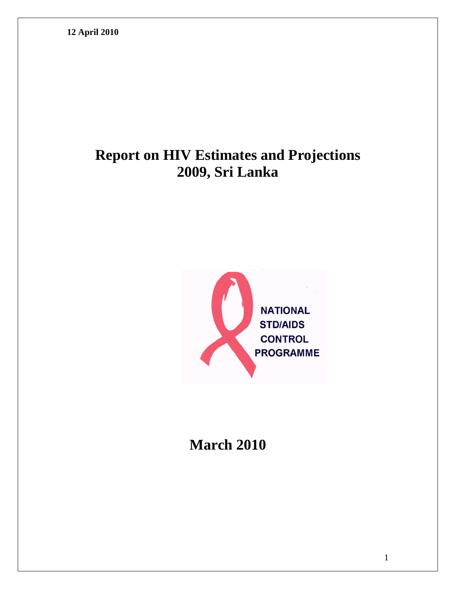# **Report on HIV Estimates and Projections 2009, Sri Lanka**



# **March 2010**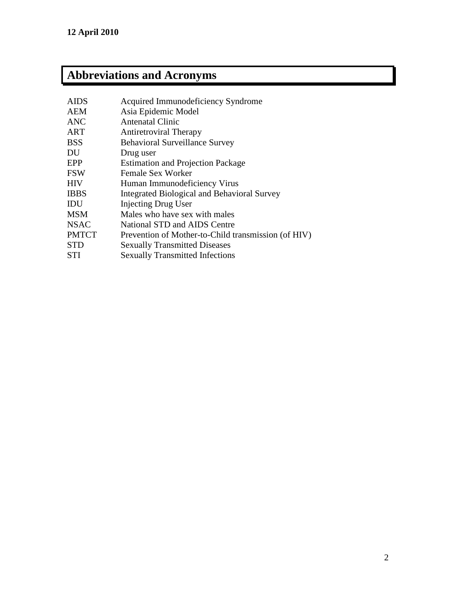# **Abbreviations and Acronyms**

| <b>AIDS</b>  | Acquired Immunodeficiency Syndrome                  |
|--------------|-----------------------------------------------------|
| <b>AEM</b>   | Asia Epidemic Model                                 |
| <b>ANC</b>   | <b>Antenatal Clinic</b>                             |
| <b>ART</b>   | <b>Antiretroviral Therapy</b>                       |
| <b>BSS</b>   | <b>Behavioral Surveillance Survey</b>               |
| DU           | Drug user                                           |
| EPP          | <b>Estimation and Projection Package</b>            |
| <b>FSW</b>   | <b>Female Sex Worker</b>                            |
| <b>HIV</b>   | Human Immunodeficiency Virus                        |
| <b>IBBS</b>  | Integrated Biological and Behavioral Survey         |
| IDU          | <b>Injecting Drug User</b>                          |
| <b>MSM</b>   | Males who have sex with males                       |
| <b>NSAC</b>  | National STD and AIDS Centre                        |
| <b>PMTCT</b> | Prevention of Mother-to-Child transmission (of HIV) |
| <b>STD</b>   | <b>Sexually Transmitted Diseases</b>                |
| <b>STI</b>   | <b>Sexually Transmitted Infections</b>              |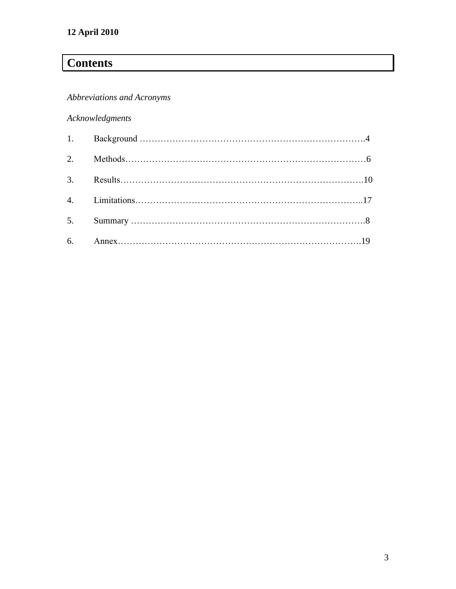## **Contents**

## *Abbreviations and Acronyms*

## *Acknowledgments*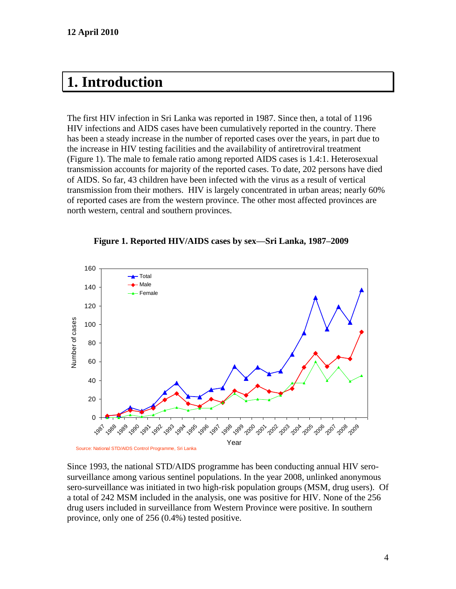# **1. Introduction**

The first HIV infection in Sri Lanka was reported in 1987. Since then, a total of 1196 HIV infections and AIDS cases have been cumulatively reported in the country. There has been a steady increase in the number of reported cases over the years, in part due to the increase in HIV testing facilities and the availability of antiretroviral treatment (Figure 1). The male to female ratio among reported AIDS cases is 1.4:1. Heterosexual transmission accounts for majority of the reported cases. To date, 202 persons have died of AIDS. So far, 43 children have been infected with the virus as a result of vertical transmission from their mothers. HIV is largely concentrated in urban areas; nearly 60% of reported cases are from the western province. The other most affected provinces are north western, central and southern provinces.



#### **Figure 1. Reported HIV/AIDS cases by sex—Sri Lanka, 1987–2009**

Since 1993, the national STD/AIDS programme has been conducting annual HIV serosurveillance among various sentinel populations. In the year 2008, unlinked anonymous sero-surveillance was initiated in two high-risk population groups (MSM, drug users). Of a total of 242 MSM included in the analysis, one was positive for HIV. None of the 256 drug users included in surveillance from Western Province were positive. In southern province, only one of 256 (0.4%) tested positive.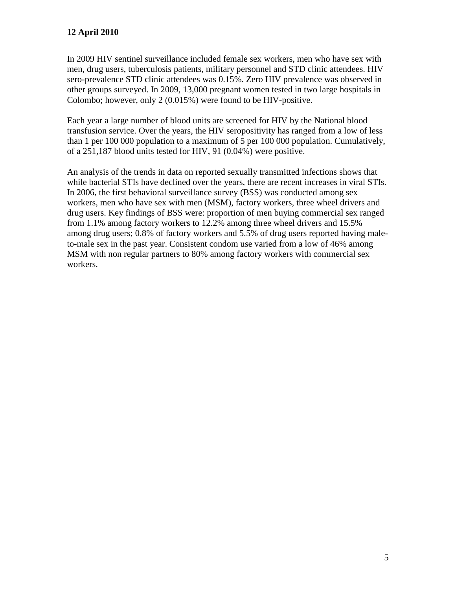In 2009 HIV sentinel surveillance included female sex workers, men who have sex with men, drug users, tuberculosis patients, military personnel and STD clinic attendees. HIV sero-prevalence STD clinic attendees was 0.15%. Zero HIV prevalence was observed in other groups surveyed. In 2009, 13,000 pregnant women tested in two large hospitals in Colombo; however, only 2 (0.015%) were found to be HIV-positive.

Each year a large number of blood units are screened for HIV by the National blood transfusion service. Over the years, the HIV seropositivity has ranged from a low of less than 1 per 100 000 population to a maximum of 5 per 100 000 population. Cumulatively, of a 251,187 blood units tested for HIV, 91 (0.04%) were positive.

An analysis of the trends in data on reported sexually transmitted infections shows that while bacterial STIs have declined over the years, there are recent increases in viral STIs. In 2006, the first behavioral surveillance survey (BSS) was conducted among sex workers, men who have sex with men (MSM), factory workers, three wheel drivers and drug users. Key findings of BSS were: proportion of men buying commercial sex ranged from 1.1% among factory workers to 12.2% among three wheel drivers and 15.5% among drug users; 0.8% of factory workers and 5.5% of drug users reported having maleto-male sex in the past year. Consistent condom use varied from a low of 46% among MSM with non regular partners to 80% among factory workers with commercial sex workers.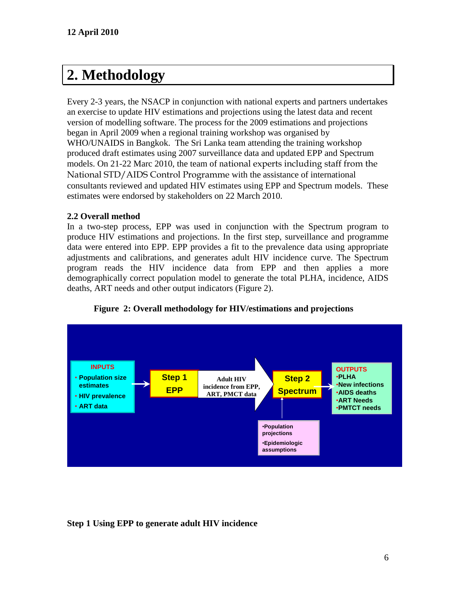# **2. Methodology**

Every 2-3 years, the NSACP in conjunction with national experts and partners undertakes an exercise to update HIV estimations and projections using the latest data and recent version of modelling software. The process for the 2009 estimations and projections began in April 2009 when a regional training workshop was organised by WHO/UNAIDS in Bangkok. The Sri Lanka team attending the training workshop produced draft estimates using 2007 surveillance data and updated EPP and Spectrum models. On 21-22 Marc 2010, the team of national experts including staff from the National STD/AIDS Control Programme with the assistance of international consultants reviewed and updated HIV estimates using EPP and Spectrum models. These estimates were endorsed by stakeholders on 22 March 2010.

### **2.2 Overall method**

In a two-step process, EPP was used in conjunction with the Spectrum program to produce HIV estimations and projections. In the first step, surveillance and programme data were entered into EPP. EPP provides a fit to the prevalence data using appropriate adjustments and calibrations, and generates adult HIV incidence curve. The Spectrum program reads the HIV incidence data from EPP and then applies a more demographically correct population model to generate the total PLHA, incidence, AIDS deaths, ART needs and other output indicators (Figure 2).





## **Step 1 Using EPP to generate adult HIV incidence**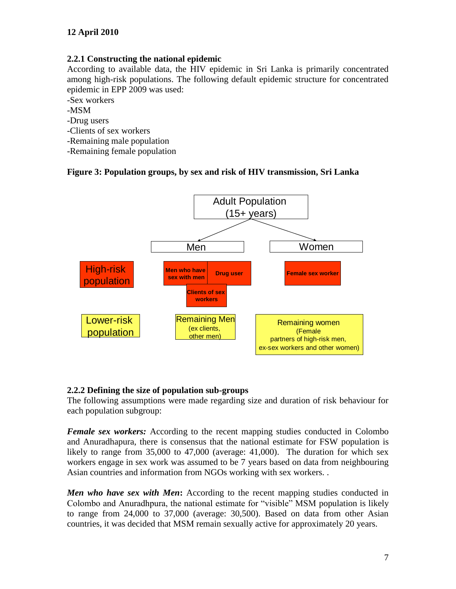### **2.2.1 Constructing the national epidemic**

According to available data, the HIV epidemic in Sri Lanka is primarily concentrated among high-risk populations. The following default epidemic structure for concentrated epidemic in EPP 2009 was used:

-Sex workers

-MSM

-Drug users

-Clients of sex workers

-Remaining male population

-Remaining female population

### **Figure 3: Population groups, by sex and risk of HIV transmission, Sri Lanka**



#### **2.2.2 Defining the size of population sub-groups**

The following assumptions were made regarding size and duration of risk behaviour for each population subgroup:

*Female sex workers:* According to the recent mapping studies conducted in Colombo and Anuradhapura, there is consensus that the national estimate for FSW population is likely to range from 35,000 to 47,000 (average: 41,000). The duration for which sex workers engage in sex work was assumed to be 7 years based on data from neighbouring Asian countries and information from NGOs working with sex workers. .

*Men who have sex with Men***:** According to the recent mapping studies conducted in Colombo and Anuradhpura, the national estimate for "visible" MSM population is likely to range from 24,000 to 37,000 (average: 30,500). Based on data from other Asian countries, it was decided that MSM remain sexually active for approximately 20 years.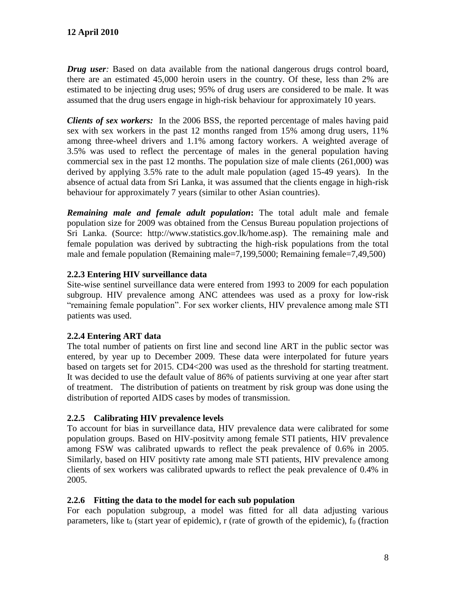*Drug user:* Based on data available from the national dangerous drugs control board, there are an estimated 45,000 heroin users in the country. Of these, less than 2% are estimated to be injecting drug uses; 95% of drug users are considered to be male. It was assumed that the drug users engage in high-risk behaviour for approximately 10 years.

*Clients of sex workers:* In the 2006 BSS, the reported percentage of males having paid sex with sex workers in the past 12 months ranged from 15% among drug users, 11% among three-wheel drivers and 1.1% among factory workers. A weighted average of 3.5% was used to reflect the percentage of males in the general population having commercial sex in the past 12 months. The population size of male clients (261,000) was derived by applying 3.5% rate to the adult male population (aged 15-49 years). In the absence of actual data from Sri Lanka, it was assumed that the clients engage in high-risk behaviour for approximately 7 years (similar to other Asian countries).

*Remaining male and female adult population***:** The total adult male and female population size for 2009 was obtained from the Census Bureau population projections of Sri Lanka. (Source: http://www.statistics.gov.lk/home.asp). The remaining male and female population was derived by subtracting the high-risk populations from the total male and female population (Remaining male=7,199,5000; Remaining female=7,49,500)

## **2.2.3 Entering HIV surveillance data**

Site-wise sentinel surveillance data were entered from 1993 to 2009 for each population subgroup. HIV prevalence among ANC attendees was used as a proxy for low-risk "remaining female population". For sex worker clients, HIV prevalence among male STI patients was used.

## **2.2.4 Entering ART data**

The total number of patients on first line and second line ART in the public sector was entered, by year up to December 2009. These data were interpolated for future years based on targets set for 2015. CD4<200 was used as the threshold for starting treatment. It was decided to use the default value of 86% of patients surviving at one year after start of treatment. The distribution of patients on treatment by risk group was done using the distribution of reported AIDS cases by modes of transmission.

## **2.2.5 Calibrating HIV prevalence levels**

To account for bias in surveillance data, HIV prevalence data were calibrated for some population groups. Based on HIV-positvity among female STI patients, HIV prevalence among FSW was calibrated upwards to reflect the peak prevalence of 0.6% in 2005. Similarly, based on HIV positivty rate among male STI patients, HIV prevalence among clients of sex workers was calibrated upwards to reflect the peak prevalence of 0.4% in 2005.

## **2.2.6 Fitting the data to the model for each sub population**

For each population subgroup, a model was fitted for all data adjusting various parameters, like  $t_0$  (start year of epidemic), r (rate of growth of the epidemic),  $f_0$  (fraction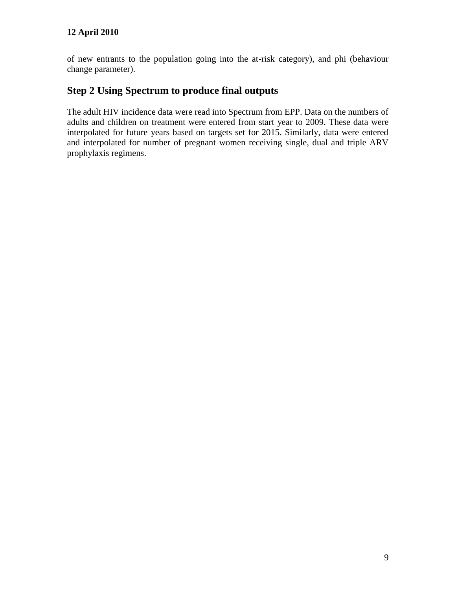of new entrants to the population going into the at-risk category), and phi (behaviour change parameter).

## **Step 2 Using Spectrum to produce final outputs**

The adult HIV incidence data were read into Spectrum from EPP. Data on the numbers of adults and children on treatment were entered from start year to 2009. These data were interpolated for future years based on targets set for 2015. Similarly, data were entered and interpolated for number of pregnant women receiving single, dual and triple ARV prophylaxis regimens.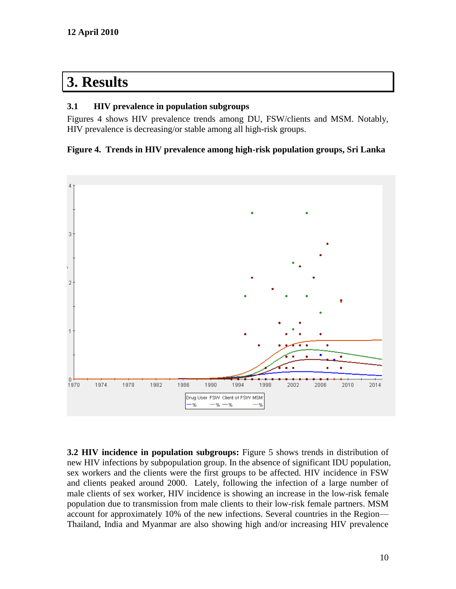# **3. Results**

#### **3.1 HIV prevalence in population subgroups**

Figures 4 shows HIV prevalence trends among DU, FSW/clients and MSM. Notably, HIV prevalence is decreasing/or stable among all high-risk groups.

#### **Figure 4. Trends in HIV prevalence among high-risk population groups, Sri Lanka**



**3.2 HIV incidence in population subgroups:** Figure 5 shows trends in distribution of new HIV infections by subpopulation group. In the absence of significant IDU population, sex workers and the clients were the first groups to be affected. HIV incidence in FSW and clients peaked around 2000. Lately, following the infection of a large number of male clients of sex worker, HIV incidence is showing an increase in the low-risk female population due to transmission from male clients to their low-risk female partners. MSM account for approximately 10% of the new infections. Several countries in the Region— Thailand, India and Myanmar are also showing high and/or increasing HIV prevalence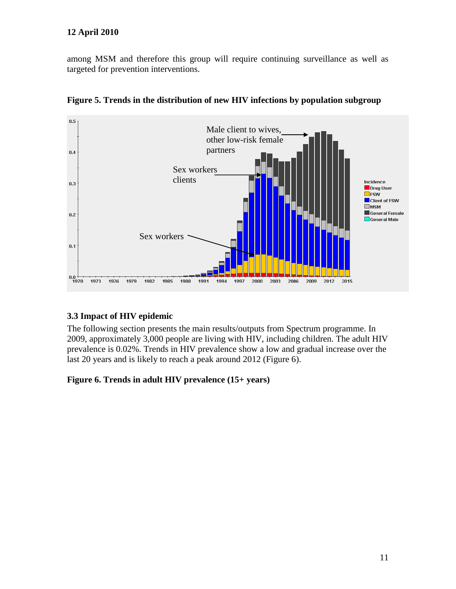among MSM and therefore this group will require continuing surveillance as well as targeted for prevention interventions.



**Figure 5. Trends in the distribution of new HIV infections by population subgroup** 

## **3.3 Impact of HIV epidemic**

The following section presents the main results/outputs from Spectrum programme. In 2009, approximately 3,000 people are living with HIV, including children. The adult HIV prevalence is 0.02%. Trends in HIV prevalence show a low and gradual increase over the last 20 years and is likely to reach a peak around 2012 (Figure 6).

**Figure 6. Trends in adult HIV prevalence (15+ years)**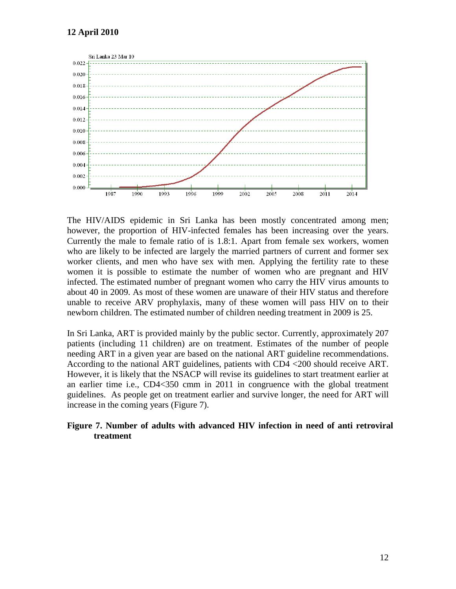

The HIV/AIDS epidemic in Sri Lanka has been mostly concentrated among men; however, the proportion of HIV-infected females has been increasing over the years. Currently the male to female ratio of is 1.8:1. Apart from female sex workers, women who are likely to be infected are largely the married partners of current and former sex worker clients, and men who have sex with men. Applying the fertility rate to these women it is possible to estimate the number of women who are pregnant and HIV infected. The estimated number of pregnant women who carry the HIV virus amounts to about 40 in 2009. As most of these women are unaware of their HIV status and therefore unable to receive ARV prophylaxis, many of these women will pass HIV on to their newborn children. The estimated number of children needing treatment in 2009 is 25.

In Sri Lanka, ART is provided mainly by the public sector. Currently, approximately 207 patients (including 11 children) are on treatment. Estimates of the number of people needing ART in a given year are based on the national ART guideline recommendations. According to the national ART guidelines, patients with CD4 <200 should receive ART. However, it is likely that the NSACP will revise its guidelines to start treatment earlier at an earlier time i.e., CD4<350 cmm in 2011 in congruence with the global treatment guidelines. As people get on treatment earlier and survive longer, the need for ART will increase in the coming years (Figure 7).

#### **Figure 7. Number of adults with advanced HIV infection in need of anti retroviral treatment**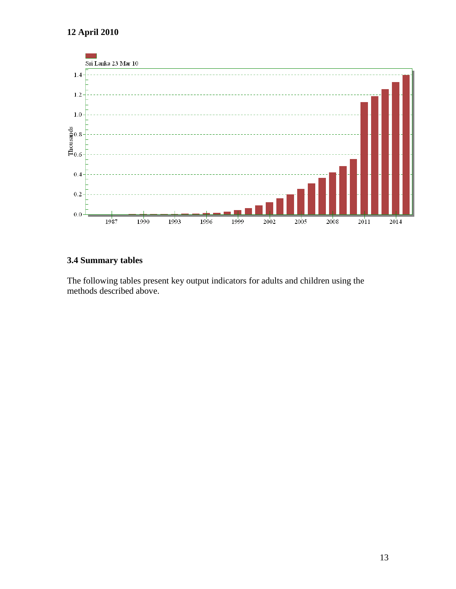

## **3.4 Summary tables**

The following tables present key output indicators for adults and children using the methods described above.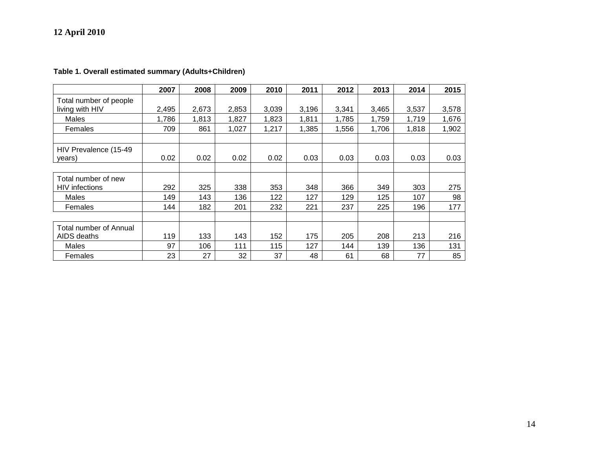|  | Table 1. Overall estimated summary (Adults+Children) |  |
|--|------------------------------------------------------|--|
|--|------------------------------------------------------|--|

|                                              | 2007  | 2008  | 2009  | 2010  | 2011  | 2012  | 2013  | 2014  | 2015  |
|----------------------------------------------|-------|-------|-------|-------|-------|-------|-------|-------|-------|
| Total number of people<br>living with HIV    | 2,495 | 2,673 | 2,853 | 3,039 | 3,196 | 3,341 | 3,465 | 3,537 | 3,578 |
| Males                                        | 1,786 | 1,813 | 1,827 | 1,823 | 1,811 | 1,785 | 1,759 | 1,719 | 1,676 |
| Females                                      | 709   | 861   | 1,027 | 1,217 | 1,385 | 1,556 | 1,706 | 1,818 | 1,902 |
|                                              |       |       |       |       |       |       |       |       |       |
| HIV Prevalence (15-49<br>years)              | 0.02  | 0.02  | 0.02  | 0.02  | 0.03  | 0.03  | 0.03  | 0.03  | 0.03  |
| Total number of new<br><b>HIV</b> infections | 292   | 325   | 338   | 353   | 348   | 366   | 349   | 303   | 275   |
| Males                                        | 149   | 143   | 136   | 122   | 127   | 129   | 125   | 107   | 98    |
| Females                                      | 144   | 182   | 201   | 232   | 221   | 237   | 225   | 196   | 177   |
|                                              |       |       |       |       |       |       |       |       |       |
| <b>Total number of Annual</b>                |       |       |       |       |       |       |       |       |       |
| AIDS deaths                                  | 119   | 133   | 143   | 152   | 175   | 205   | 208   | 213   | 216   |
| Males                                        | 97    | 106   | 111   | 115   | 127   | 144   | 139   | 136   | 131   |
| Females                                      | 23    | 27    | 32    | 37    | 48    | 61    | 68    | 77    | 85    |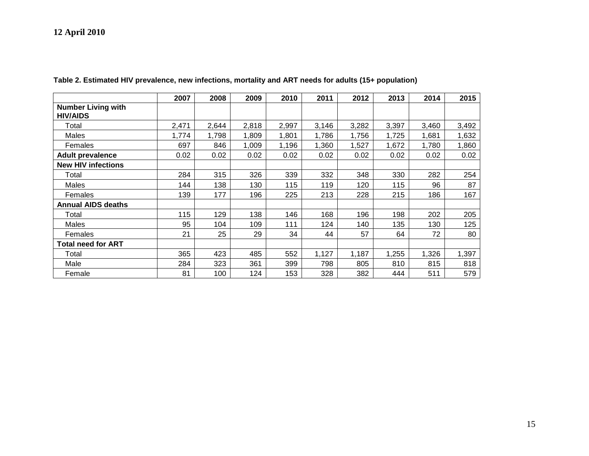|                                              | 2007  | 2008  | 2009  | 2010  | 2011  | 2012  | 2013  | 2014  | 2015  |
|----------------------------------------------|-------|-------|-------|-------|-------|-------|-------|-------|-------|
| <b>Number Living with</b><br><b>HIV/AIDS</b> |       |       |       |       |       |       |       |       |       |
| Total                                        | 2,471 | 2,644 | 2,818 | 2,997 | 3,146 | 3,282 | 3,397 | 3,460 | 3,492 |
| Males                                        | 1,774 | 1,798 | 1,809 | 1,801 | 1,786 | 1,756 | 1,725 | 1,681 | 1,632 |
| Females                                      | 697   | 846   | 1,009 | 1,196 | 1,360 | 1,527 | 1,672 | 1,780 | 1,860 |
| <b>Adult prevalence</b>                      | 0.02  | 0.02  | 0.02  | 0.02  | 0.02  | 0.02  | 0.02  | 0.02  | 0.02  |
| <b>New HIV infections</b>                    |       |       |       |       |       |       |       |       |       |
| Total                                        | 284   | 315   | 326   | 339   | 332   | 348   | 330   | 282   | 254   |
| Males                                        | 144   | 138   | 130   | 115   | 119   | 120   | 115   | 96    | 87    |
| Females                                      | 139   | 177   | 196   | 225   | 213   | 228   | 215   | 186   | 167   |
| <b>Annual AIDS deaths</b>                    |       |       |       |       |       |       |       |       |       |
| Total                                        | 115   | 129   | 138   | 146   | 168   | 196   | 198   | 202   | 205   |
| Males                                        | 95    | 104   | 109   | 111   | 124   | 140   | 135   | 130   | 125   |
| Females                                      | 21    | 25    | 29    | 34    | 44    | 57    | 64    | 72    | 80    |
| <b>Total need for ART</b>                    |       |       |       |       |       |       |       |       |       |
| Total                                        | 365   | 423   | 485   | 552   | 1,127 | 1,187 | 1,255 | 1,326 | 1,397 |
| Male                                         | 284   | 323   | 361   | 399   | 798   | 805   | 810   | 815   | 818   |
| Female                                       | 81    | 100   | 124   | 153   | 328   | 382   | 444   | 511   | 579   |

**Table 2. Estimated HIV prevalence, new infections, mortality and ART needs for adults (15+ population)**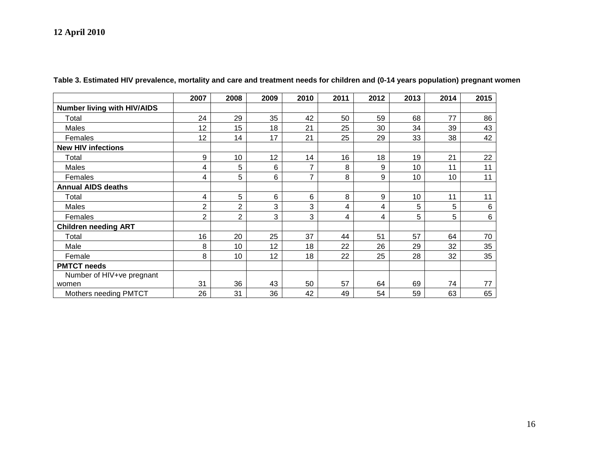|                                    | 2007 | 2008 | 2009 | 2010           | 2011 | 2012 | 2013 | 2014 | 2015            |
|------------------------------------|------|------|------|----------------|------|------|------|------|-----------------|
| <b>Number living with HIV/AIDS</b> |      |      |      |                |      |      |      |      |                 |
| Total                              | 24   | 29   | 35   | 42             | 50   | 59   | 68   | 77   | 86              |
| Males                              | 12   | 15   | 18   | 21             | 25   | 30   | 34   | 39   | 43              |
| Females                            | 12   | 14   | 17   | 21             | 25   | 29   | 33   | 38   | 42              |
| <b>New HIV infections</b>          |      |      |      |                |      |      |      |      |                 |
| Total                              | 9    | 10   | 12   | 14             | 16   | 18   | 19   | 21   | 22              |
| Males                              | 4    | 5    | 6    | 7              | 8    | 9    | 10   | 11   | 11              |
| Females                            | 4    | 5    | 6    | $\overline{ }$ | 8    | 9    | 10   | 10   | 11              |
| <b>Annual AIDS deaths</b>          |      |      |      |                |      |      |      |      |                 |
| Total                              | 4    | 5    | 6    | 6              | 8    | 9    | 10   | 11   | 11              |
| Males                              | 2    | 2    | 3    | 3              | 4    | 4    | 5    | 5    | 6               |
| Females                            | 2    | 2    | 3    | 3              | 4    | 4    | 5    | 5    | $6\phantom{1}6$ |
| <b>Children needing ART</b>        |      |      |      |                |      |      |      |      |                 |
| Total                              | 16   | 20   | 25   | 37             | 44   | 51   | 57   | 64   | 70              |
| Male                               | 8    | 10   | 12   | 18             | 22   | 26   | 29   | 32   | 35              |
| Female                             | 8    | 10   | 12   | 18             | 22   | 25   | 28   | 32   | 35              |
| <b>PMTCT needs</b>                 |      |      |      |                |      |      |      |      |                 |
| Number of HIV+ve pregnant          |      |      |      |                |      |      |      |      |                 |
| women                              | 31   | 36   | 43   | 50             | 57   | 64   | 69   | 74   | 77              |
| Mothers needing PMTCT              | 26   | 31   | 36   | 42             | 49   | 54   | 59   | 63   | 65              |

**Table 3. Estimated HIV prevalence, mortality and care and treatment needs for children and (0-14 years population) pregnant women**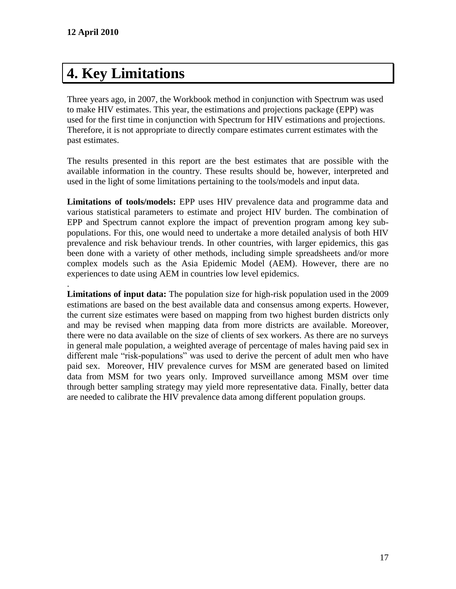# **4. Key Limitations**

Three years ago, in 2007, the Workbook method in conjunction with Spectrum was used to make HIV estimates. This year, the estimations and projections package (EPP) was used for the first time in conjunction with Spectrum for HIV estimations and projections. Therefore, it is not appropriate to directly compare estimates current estimates with the past estimates.

The results presented in this report are the best estimates that are possible with the available information in the country. These results should be, however, interpreted and used in the light of some limitations pertaining to the tools/models and input data.

**Limitations of tools/models:** EPP uses HIV prevalence data and programme data and various statistical parameters to estimate and project HIV burden. The combination of EPP and Spectrum cannot explore the impact of prevention program among key subpopulations. For this, one would need to undertake a more detailed analysis of both HIV prevalence and risk behaviour trends. In other countries, with larger epidemics, this gas been done with a variety of other methods, including simple spreadsheets and/or more complex models such as the Asia Epidemic Model (AEM). However, there are no experiences to date using AEM in countries low level epidemics.

. **Limitations of input data:** The population size for high-risk population used in the 2009 estimations are based on the best available data and consensus among experts. However, the current size estimates were based on mapping from two highest burden districts only and may be revised when mapping data from more districts are available. Moreover, there were no data available on the size of clients of sex workers. As there are no surveys in general male population, a weighted average of percentage of males having paid sex in different male "risk-populations" was used to derive the percent of adult men who have paid sex. Moreover, HIV prevalence curves for MSM are generated based on limited data from MSM for two years only. Improved surveillance among MSM over time through better sampling strategy may yield more representative data. Finally, better data are needed to calibrate the HIV prevalence data among different population groups.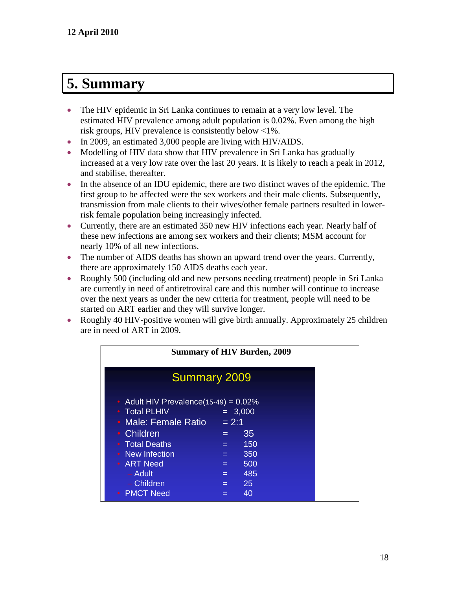# **5. Summary**

- The HIV epidemic in Sri Lanka continues to remain at a very low level. The estimated HIV prevalence among adult population is 0.02%. Even among the high risk groups, HIV prevalence is consistently below <1%.
- In 2009, an estimated 3,000 people are living with HIV/AIDS.
- Modelling of HIV data show that HIV prevalence in Sri Lanka has gradually increased at a very low rate over the last 20 years. It is likely to reach a peak in 2012, and stabilise, thereafter.
- In the absence of an IDU epidemic, there are two distinct waves of the epidemic. The first group to be affected were the sex workers and their male clients. Subsequently, transmission from male clients to their wives/other female partners resulted in lowerrisk female population being increasingly infected.
- Currently, there are an estimated 350 new HIV infections each year. Nearly half of these new infections are among sex workers and their clients; MSM account for nearly 10% of all new infections.
- The number of AIDS deaths has shown an upward trend over the years. Currently, there are approximately 150 AIDS deaths each year.
- Roughly 500 (including old and new persons needing treatment) people in Sri Lanka are currently in need of antiretroviral care and this number will continue to increase over the next years as under the new criteria for treatment, people will need to be started on ART earlier and they will survive longer.
- Roughly 40 HIV-positive women will give birth annually. Approximately 25 children are in need of ART in 2009.

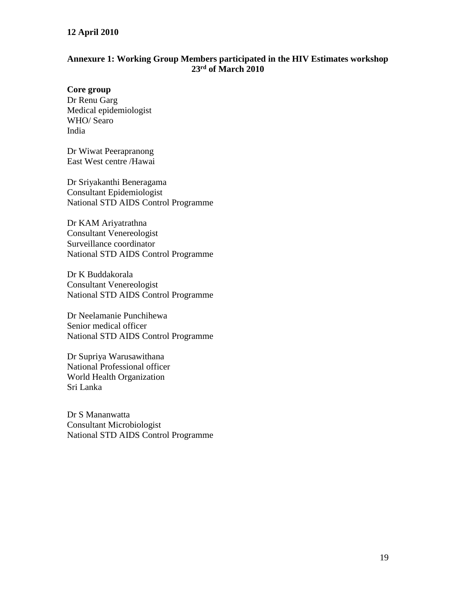#### **Annexure 1: Working Group Members participated in the HIV Estimates workshop 23rd of March 2010**

#### **Core group**

Dr Renu Garg Medical epidemiologist WHO/ Searo India

Dr Wiwat Peerapranong East West centre /Hawai

Dr Sriyakanthi Beneragama Consultant Epidemiologist National STD AIDS Control Programme

Dr KAM Ariyatrathna Consultant Venereologist Surveillance coordinator National STD AIDS Control Programme

Dr K Buddakorala Consultant Venereologist National STD AIDS Control Programme

Dr Neelamanie Punchihewa Senior medical officer National STD AIDS Control Programme

Dr Supriya Warusawithana National Professional officer World Health Organization Sri Lanka

Dr S Mananwatta Consultant Microbiologist National STD AIDS Control Programme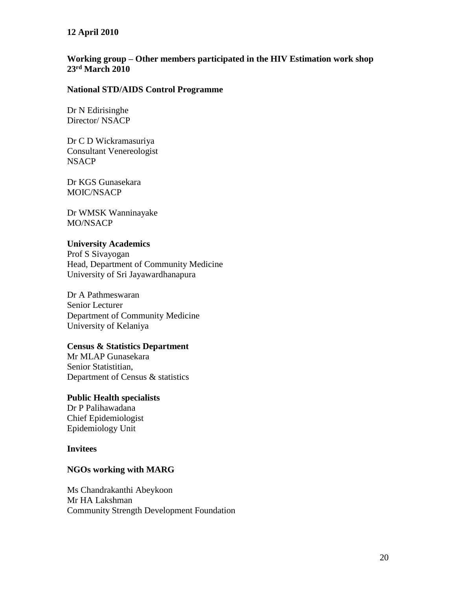#### **Working group – Other members participated in the HIV Estimation work shop 23rd March 2010**

#### **National STD/AIDS Control Programme**

Dr N Edirisinghe Director/ NSACP

Dr C D Wickramasuriya Consultant Venereologist **NSACP** 

Dr KGS Gunasekara MOIC/NSACP

Dr WMSK Wanninayake MO/NSACP

#### **University Academics**

Prof S Sivayogan Head, Department of Community Medicine University of Sri Jayawardhanapura

Dr A Pathmeswaran Senior Lecturer Department of Community Medicine University of Kelaniya

#### **Census & Statistics Department**

Mr MLAP Gunasekara Senior Statistitian, Department of Census & statistics

#### **Public Health specialists**

Dr P Palihawadana Chief Epidemiologist Epidemiology Unit

#### **Invitees**

#### **NGOs working with MARG**

Ms Chandrakanthi Abeykoon Mr HA Lakshman Community Strength Development Foundation